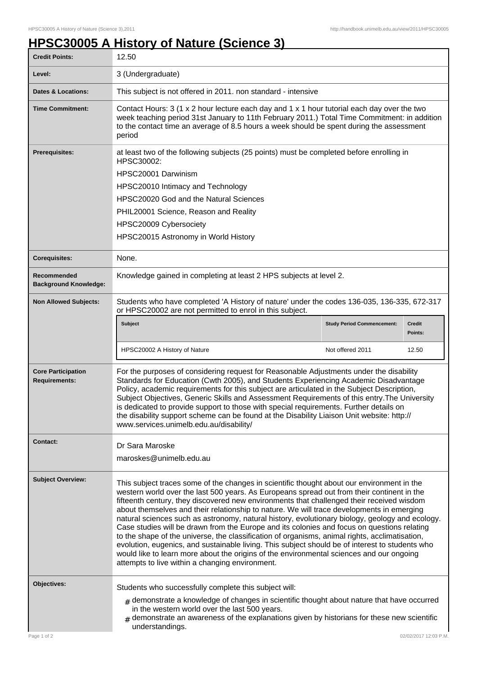## **HPSC30005 A History of Nature (Science 3)**

| <b>Credit Points:</b>                             | 12.50                                                                                                                                                                                                                                                                                                                                                                                                                                                                                                                                                                                                                                                                                                                                                                                                                                                                                                                                    |                                   |                       |
|---------------------------------------------------|------------------------------------------------------------------------------------------------------------------------------------------------------------------------------------------------------------------------------------------------------------------------------------------------------------------------------------------------------------------------------------------------------------------------------------------------------------------------------------------------------------------------------------------------------------------------------------------------------------------------------------------------------------------------------------------------------------------------------------------------------------------------------------------------------------------------------------------------------------------------------------------------------------------------------------------|-----------------------------------|-----------------------|
| Level:                                            | 3 (Undergraduate)                                                                                                                                                                                                                                                                                                                                                                                                                                                                                                                                                                                                                                                                                                                                                                                                                                                                                                                        |                                   |                       |
| <b>Dates &amp; Locations:</b>                     | This subject is not offered in 2011. non standard - intensive                                                                                                                                                                                                                                                                                                                                                                                                                                                                                                                                                                                                                                                                                                                                                                                                                                                                            |                                   |                       |
| <b>Time Commitment:</b>                           | Contact Hours: $3$ (1 x 2 hour lecture each day and 1 x 1 hour tutorial each day over the two<br>week teaching period 31st January to 11th February 2011.) Total Time Commitment: in addition<br>to the contact time an average of 8.5 hours a week should be spent during the assessment<br>period                                                                                                                                                                                                                                                                                                                                                                                                                                                                                                                                                                                                                                      |                                   |                       |
| <b>Prerequisites:</b>                             | at least two of the following subjects (25 points) must be completed before enrolling in<br>HPSC30002:                                                                                                                                                                                                                                                                                                                                                                                                                                                                                                                                                                                                                                                                                                                                                                                                                                   |                                   |                       |
|                                                   | HPSC20001 Darwinism                                                                                                                                                                                                                                                                                                                                                                                                                                                                                                                                                                                                                                                                                                                                                                                                                                                                                                                      |                                   |                       |
|                                                   | HPSC20010 Intimacy and Technology                                                                                                                                                                                                                                                                                                                                                                                                                                                                                                                                                                                                                                                                                                                                                                                                                                                                                                        |                                   |                       |
|                                                   | HPSC20020 God and the Natural Sciences                                                                                                                                                                                                                                                                                                                                                                                                                                                                                                                                                                                                                                                                                                                                                                                                                                                                                                   |                                   |                       |
|                                                   | PHIL20001 Science, Reason and Reality                                                                                                                                                                                                                                                                                                                                                                                                                                                                                                                                                                                                                                                                                                                                                                                                                                                                                                    |                                   |                       |
|                                                   | HPSC20009 Cybersociety                                                                                                                                                                                                                                                                                                                                                                                                                                                                                                                                                                                                                                                                                                                                                                                                                                                                                                                   |                                   |                       |
|                                                   | HPSC20015 Astronomy in World History                                                                                                                                                                                                                                                                                                                                                                                                                                                                                                                                                                                                                                                                                                                                                                                                                                                                                                     |                                   |                       |
| <b>Corequisites:</b>                              | None.                                                                                                                                                                                                                                                                                                                                                                                                                                                                                                                                                                                                                                                                                                                                                                                                                                                                                                                                    |                                   |                       |
| Recommended<br><b>Background Knowledge:</b>       | Knowledge gained in completing at least 2 HPS subjects at level 2.                                                                                                                                                                                                                                                                                                                                                                                                                                                                                                                                                                                                                                                                                                                                                                                                                                                                       |                                   |                       |
| <b>Non Allowed Subjects:</b>                      | Students who have completed 'A History of nature' under the codes 136-035, 136-335, 672-317<br>or HPSC20002 are not permitted to enrol in this subject.                                                                                                                                                                                                                                                                                                                                                                                                                                                                                                                                                                                                                                                                                                                                                                                  |                                   |                       |
|                                                   | <b>Subject</b>                                                                                                                                                                                                                                                                                                                                                                                                                                                                                                                                                                                                                                                                                                                                                                                                                                                                                                                           | <b>Study Period Commencement:</b> | Credit<br>Points:     |
|                                                   | HPSC20002 A History of Nature                                                                                                                                                                                                                                                                                                                                                                                                                                                                                                                                                                                                                                                                                                                                                                                                                                                                                                            | Not offered 2011                  | 12.50                 |
| <b>Core Participation</b><br><b>Requirements:</b> | For the purposes of considering request for Reasonable Adjustments under the disability<br>Standards for Education (Cwth 2005), and Students Experiencing Academic Disadvantage<br>Policy, academic requirements for this subject are articulated in the Subject Description,<br>Subject Objectives, Generic Skills and Assessment Requirements of this entry. The University<br>is dedicated to provide support to those with special requirements. Further details on<br>the disability support scheme can be found at the Disability Liaison Unit website: http://<br>www.services.unimelb.edu.au/disability/                                                                                                                                                                                                                                                                                                                         |                                   |                       |
| <b>Contact:</b>                                   | Dr Sara Maroske                                                                                                                                                                                                                                                                                                                                                                                                                                                                                                                                                                                                                                                                                                                                                                                                                                                                                                                          |                                   |                       |
|                                                   | maroskes@unimelb.edu.au                                                                                                                                                                                                                                                                                                                                                                                                                                                                                                                                                                                                                                                                                                                                                                                                                                                                                                                  |                                   |                       |
| <b>Subject Overview:</b>                          | This subject traces some of the changes in scientific thought about our environment in the<br>western world over the last 500 years. As Europeans spread out from their continent in the<br>fifteenth century, they discovered new environments that challenged their received wisdom<br>about themselves and their relationship to nature. We will trace developments in emerging<br>natural sciences such as astronomy, natural history, evolutionary biology, geology and ecology.<br>Case studies will be drawn from the Europe and its colonies and focus on questions relating<br>to the shape of the universe, the classification of organisms, animal rights, acclimatisation,<br>evolution, eugenics, and sustainable living. This subject should be of interest to students who<br>would like to learn more about the origins of the environmental sciences and our ongoing<br>attempts to live within a changing environment. |                                   |                       |
| Objectives:                                       | Students who successfully complete this subject will:<br>$#$ demonstrate a knowledge of changes in scientific thought about nature that have occurred                                                                                                                                                                                                                                                                                                                                                                                                                                                                                                                                                                                                                                                                                                                                                                                    |                                   |                       |
|                                                   | in the western world over the last 500 years.<br>demonstrate an awareness of the explanations given by historians for these new scientific<br>$\pm$<br>understandings.                                                                                                                                                                                                                                                                                                                                                                                                                                                                                                                                                                                                                                                                                                                                                                   |                                   |                       |
| Page 1 of 2                                       |                                                                                                                                                                                                                                                                                                                                                                                                                                                                                                                                                                                                                                                                                                                                                                                                                                                                                                                                          |                                   | 02/02/2017 12:03 P.M. |